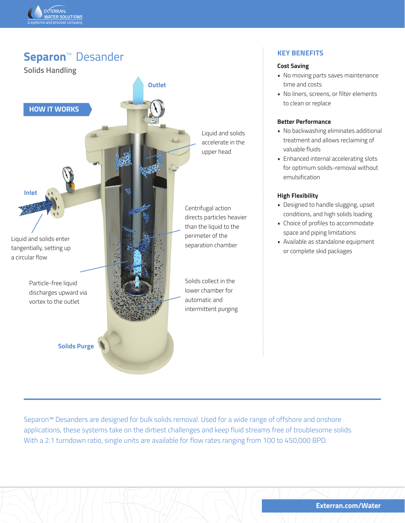

# **Separon™ Desander Solids Handling HOW IT WORKS Outlet Inlet Solids Purge** Liquid and solids enter tangentially, setting up a circular flow Particle-free liquid discharges upward via vortex to the outlet Liquid and solids accelerate in the upper head Solids collect in the lower chamber for automatic and intermittent purging Centrifugal action directs particles heavier than the liquid to the perimeter of the separation chamber

# **KEY BENEFITS**

#### **Cost Saving**

- No moving parts saves maintenance time and costs
- No liners, screens, or filter elements to clean or replace

## **Better Performance**

- No backwashing eliminates additional treatment and allows reclaiming of valuable fluids
- Enhanced internal accelerating slots for optimum solids-removal without emulsification

#### **High Flexibility**

- Designed to handle slugging, upset conditions, and high solids loading
- Choice of profiles to accommodate space and piping limitations
- Available as standalone equipment or complete skid packages

Separon™ Desanders are designed for bulk solids removal. Used for a wide range of offshore and onshore applications, these systems take on the dirtiest challenges and keep fluid streams free of troublesome solids. With a 2:1 turndown ratio, single units are available for flow rates ranging from 100 to 450,000 BPD.